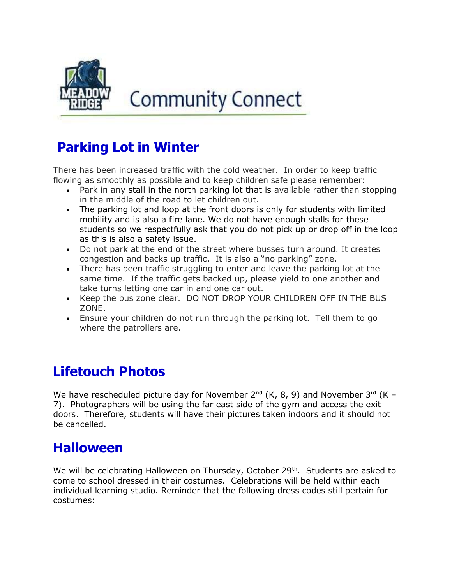

# **Community Connect**

## Parking Lot in Winter

There has been increased traffic with the cold weather. In order to keep traffic flowing as smoothly as possible and to keep children safe please remember:

- Park in any stall in the north parking lot that is available rather than stopping in the middle of the road to let children out.
- The parking lot and loop at the front doors is only for students with limited mobility and is also a fire lane. We do not have enough stalls for these students so we respectfully ask that you do not pick up or drop off in the loop as this is also a safety issue.
- Do not park at the end of the street where busses turn around. It creates congestion and backs up traffic. It is also a "no parking" zone.
- There has been traffic struggling to enter and leave the parking lot at the same time. If the traffic gets backed up, please yield to one another and take turns letting one car in and one car out.
- Keep the bus zone clear. DO NOT DROP YOUR CHILDREN OFF IN THE BUS ZONE.
- Ensure your children do not run through the parking lot. Tell them to go where the patrollers are.

## Lifetouch Photos

We have rescheduled picture day for November  $2^{nd}$  (K, 8, 9) and November  $3^{rd}$  (K – 7). Photographers will be using the far east side of the gym and access the exit doors. Therefore, students will have their pictures taken indoors and it should not be cancelled.

#### Halloween

We will be celebrating Halloween on Thursday, October 29<sup>th</sup>. Students are asked to come to school dressed in their costumes. Celebrations will be held within each individual learning studio. Reminder that the following dress codes still pertain for costumes: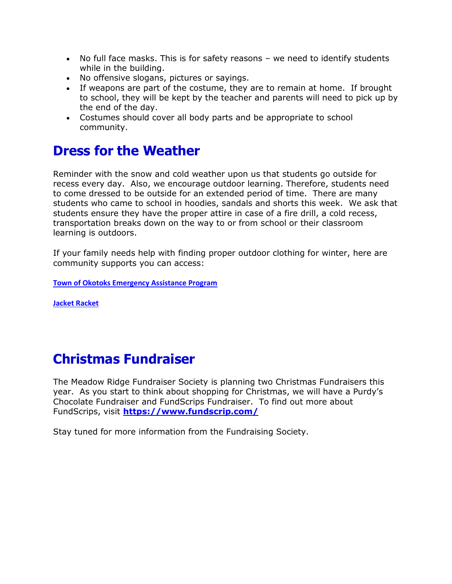- No full face masks. This is for safety reasons we need to identify students while in the building.
- No offensive slogans, pictures or sayings.
- If weapons are part of the costume, they are to remain at home. If brought to school, they will be kept by the teacher and parents will need to pick up by the end of the day.
- Costumes should cover all body parts and be appropriate to school community.

#### Dress for the Weather

Reminder with the snow and cold weather upon us that students go outside for recess every day. Also, we encourage outdoor learning. Therefore, students need to come dressed to be outside for an extended period of time. There are many students who came to school in hoodies, sandals and shorts this week. We ask that students ensure they have the proper attire in case of a fire drill, a cold recess, transportation breaks down on the way to or from school or their classroom learning is outdoors.

If your family needs help with finding proper outdoor clothing for winter, here are community supports you can access:

Town of Okotoks Emergency Assistance Program

Jacket Racket

#### Christmas Fundraiser

The Meadow Ridge Fundraiser Society is planning two Christmas Fundraisers this year. As you start to think about shopping for Christmas, we will have a Purdy's Chocolate Fundraiser and FundScrips Fundraiser. To find out more about FundScrips, visit https://www.fundscrip.com/

Stay tuned for more information from the Fundraising Society.